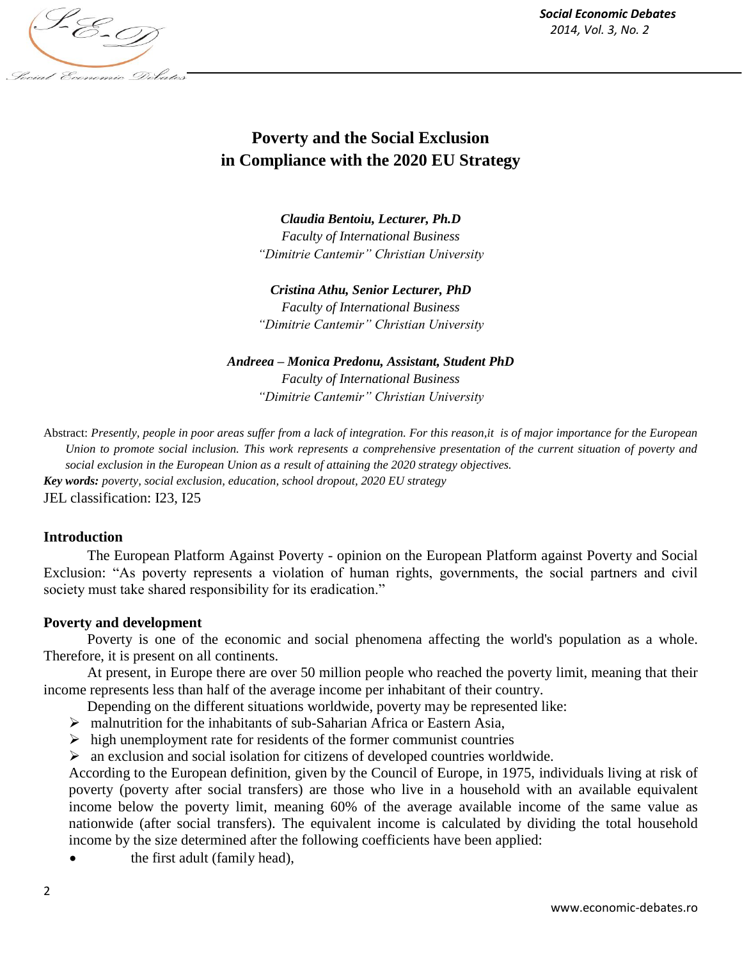*Social Economic Debates 2014, Vol. 3, No. 2*



# **Poverty and the Social Exclusion in Compliance with the 2020 EU Strategy**

*Claudia Bentoiu, Lecturer, Ph.D Faculty of International Business "Dimitrie Cantemir" Christian University*

*Cristina Athu, Senior Lecturer, PhD Faculty of International Business "Dimitrie Cantemir" Christian University*

*Andreea – Monica Predonu, Assistant, Student PhD Faculty of International Business "Dimitrie Cantemir" Christian University*

Abstract: *Presently, people in poor areas suffer from a lack of integration. For this reason,it is of major importance for the European Union to promote social inclusion. This work represents a comprehensive presentation of the current situation of poverty and social exclusion in the European Union as a result of attaining the 2020 strategy objectives. Key words: poverty, social exclusion, education, school dropout, 2020 EU strategy* JEL classification: I23, I25

## **Introduction**

The European Platform Against Poverty - opinion on the European Platform against Poverty and Social Exclusion: "As poverty represents a violation of human rights, governments, the social partners and civil society must take shared responsibility for its eradication."

## **Poverty and development**

Poverty is one of the economic and social phenomena affecting the world's population as a whole. Therefore, it is present on all continents.

At present, in Europe there are over 50 million people who reached the poverty limit, meaning that their income represents less than half of the average income per inhabitant of their country.

Depending on the different situations worldwide, poverty may be represented like:

- malnutrition for the inhabitants of sub-Saharian Africa or Eastern Asia,
- $\triangleright$  high unemployment rate for residents of the former communist countries

 $\triangleright$  an exclusion and social isolation for citizens of developed countries worldwide.

According to the European definition, given by the Council of Europe, in 1975, individuals living at risk of poverty (poverty after social transfers) are those who live in a household with an available equivalent income below the poverty limit, meaning 60% of the average available income of the same value as nationwide (after social transfers). The equivalent income is calculated by dividing the total household income by the size determined after the following coefficients have been applied:

the first adult (family head),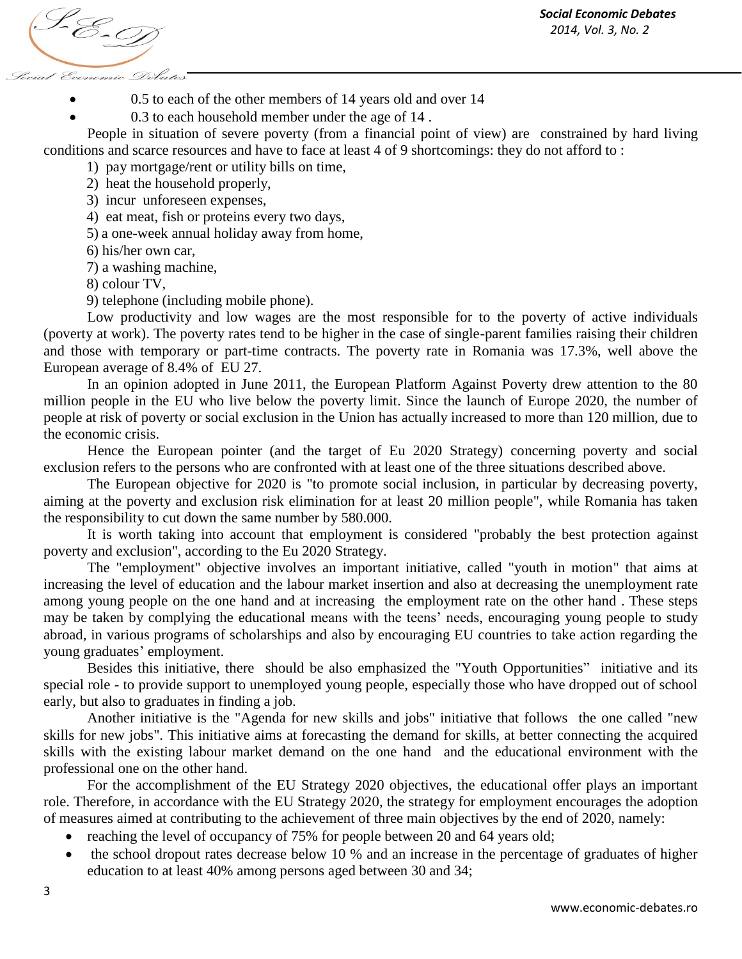S-E-T Social Economic Debates

0.5 to each of the other members of 14 years old and over 14

0.3 to each household member under the age of 14 .

People in situation of severe poverty (from a financial point of view) are constrained by hard living conditions and scarce resources and have to face at least 4 of 9 shortcomings: they do not afford to :

1) pay mortgage/rent or utility bills on time,

2) heat the household properly,

3) incur unforeseen expenses,

4) eat meat, fish or proteins every two days,

5) a one-week annual holiday away from home,

6) his/her own car,

7) a washing machine,

8) colour TV,

9) telephone (including mobile phone).

Low productivity and low wages are the most responsible for to the poverty of active individuals (poverty at work). The poverty rates tend to be higher in the case of single-parent families raising their children and those with temporary or part-time contracts. The poverty rate in Romania was 17.3%, well above the European average of 8.4% of EU 27.

In an opinion adopted in June 2011, the European Platform Against Poverty drew attention to the 80 million people in the EU who live below the poverty limit. Since the launch of Europe 2020, the number of people at risk of poverty or social exclusion in the Union has actually increased to more than 120 million, due to the economic crisis.

Hence the European pointer (and the target of Eu 2020 Strategy) concerning poverty and social exclusion refers to the persons who are confronted with at least one of the three situations described above.

The European objective for 2020 is "to promote social inclusion, in particular by decreasing poverty, aiming at the poverty and exclusion risk elimination for at least 20 million people", while Romania has taken the responsibility to cut down the same number by 580.000.

It is worth taking into account that employment is considered "probably the best protection against poverty and exclusion", according to the Eu 2020 Strategy.

The "employment" objective involves an important initiative, called "youth in motion" that aims at increasing the level of education and the labour market insertion and also at decreasing the unemployment rate among young people on the one hand and at increasing the employment rate on the other hand . These steps may be taken by complying the educational means with the teens' needs, encouraging young people to study abroad, in various programs of scholarships and also by encouraging EU countries to take action regarding the young graduates' employment.

Besides this initiative, there should be also emphasized the "Youth Opportunities" initiative and its special role - to provide support to unemployed young people, especially those who have dropped out of school early, but also to graduates in finding a job.

Another initiative is the "Agenda for new skills and jobs" initiative that follows the one called "new skills for new jobs". This initiative aims at forecasting the demand for skills, at better connecting the acquired skills with the existing labour market demand on the one hand and the educational environment with the professional one on the other hand.

For the accomplishment of the EU Strategy 2020 objectives, the educational offer plays an important role. Therefore, in accordance with the EU Strategy 2020, the strategy for employment encourages the adoption of measures aimed at contributing to the achievement of three main objectives by the end of 2020, namely:

- reaching the level of occupancy of 75% for people between 20 and 64 years old;
- the school dropout rates decrease below 10 % and an increase in the percentage of graduates of higher education to at least 40% among persons aged between 30 and 34;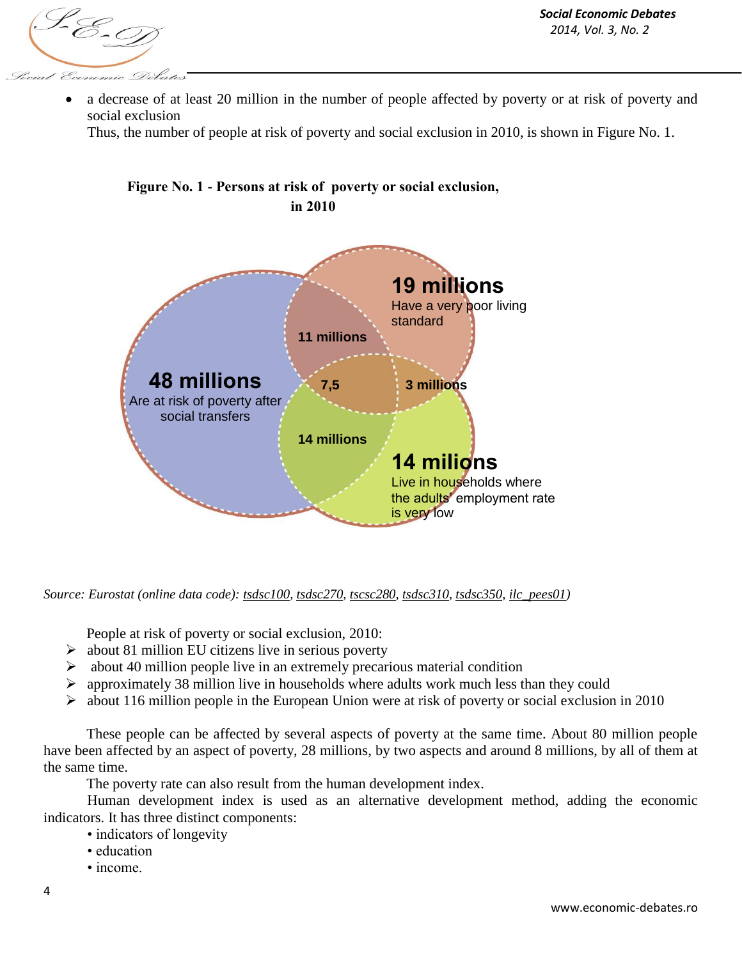S-E-9 Conomic Debate

 a decrease of at least 20 million in the number of people affected by poverty or at risk of poverty and social exclusion

Thus, the number of people at risk of poverty and social exclusion in 2010, is shown in Figure No. 1.



**Figure No. 1 - Persons at risk of poverty or social exclusion,** 

*Source: Eurostat (online data code): [tsdsc100,](http://ec.europa.eu/eurostat/product?mode=view&code=tsdsc100) [tsdsc270,](http://ec.europa.eu/eurostat/product?mode=view&code=tsdsc270) [tscsc280,](http://ec.europa.eu/eurostat/product?mode=view&code=tsdsc280) [tsdsc310,](http://ec.europa.eu/eurostat/product?mode=view&code=tsdsc310) [tsdsc350,](http://ec.europa.eu/eurostat/product?mode=view&code=tsdsc350) [ilc\\_pees01\)](http://ec.europa.eu/eurostat/product?mode=view&code=ilc_pees01)* 

People at risk of poverty or social exclusion, 2010:

- $\triangleright$  about 81 million EU citizens live in serious poverty
- $\triangleright$  about 40 million people live in an extremely precarious material condition
- $\triangleright$  approximately 38 million live in households where adults work much less than they could
- $\triangleright$  about 116 million people in the European Union were at risk of poverty or social exclusion in 2010

These people can be affected by several aspects of poverty at the same time. About 80 million people have been affected by an aspect of poverty, 28 millions, by two aspects and around 8 millions, by all of them at the same time.

The poverty rate can also result from the human development index.

Human development index is used as an alternative development method, adding the economic indicators. It has three distinct components:

- indicators of longevity
- education
- income.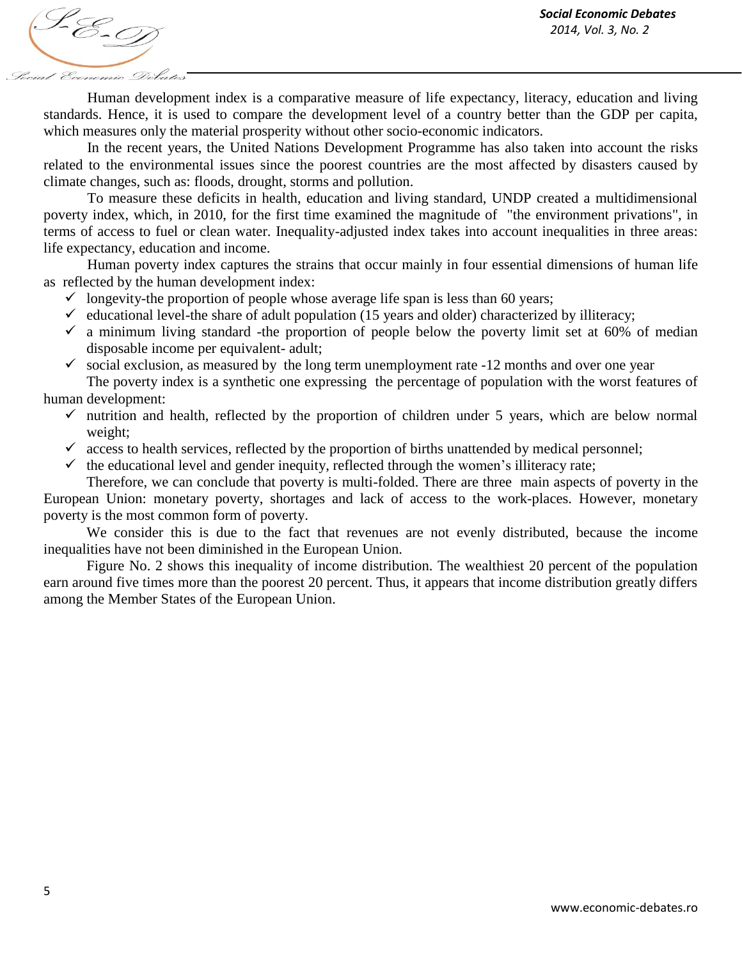S-E-D Social Economic Debates

Human development index is a comparative measure of life expectancy, literacy, education and living standards. Hence, it is used to compare the development level of a country better than the GDP per capita, which measures only the material prosperity without other socio-economic indicators.

In the recent years, the United Nations Development Programme has also taken into account the risks related to the environmental issues since the poorest countries are the most affected by disasters caused by climate changes, such as: floods, drought, storms and pollution.

To measure these deficits in health, education and living standard, UNDP created a multidimensional poverty index, which, in 2010, for the first time examined the magnitude of "the environment privations", in terms of access to fuel or clean water. Inequality-adjusted index takes into account inequalities in three areas: life expectancy, education and income.

Human poverty index captures the strains that occur mainly in four essential dimensions of human life as reflected by the human development index:

- $\checkmark$  longevity-the proportion of people whose average life span is less than 60 years;
- $\checkmark$  educational level-the share of adult population (15 years and older) characterized by illiteracy;
- $\checkmark$  a minimum living standard -the proportion of people below the poverty limit set at 60% of median disposable income per equivalent- adult;
- $\checkmark$  social exclusion, as measured by the long term unemployment rate -12 months and over one year

The poverty index is a synthetic one expressing the percentage of population with the worst features of human development:

- $\checkmark$  nutrition and health, reflected by the proportion of children under 5 years, which are below normal weight;
- $\checkmark$  access to health services, reflected by the proportion of births unattended by medical personnel;
- $\checkmark$  the educational level and gender inequity, reflected through the women's illiteracy rate;

Therefore, we can conclude that poverty is multi-folded. There are three main aspects of poverty in the European Union: monetary poverty, shortages and lack of access to the work-places. However, monetary poverty is the most common form of poverty.

We consider this is due to the fact that revenues are not evenly distributed, because the income inequalities have not been diminished in the European Union.

Figure No. 2 shows this inequality of income distribution. The wealthiest 20 percent of the population earn around five times more than the poorest 20 percent. Thus, it appears that income distribution greatly differs among the Member States of the European Union.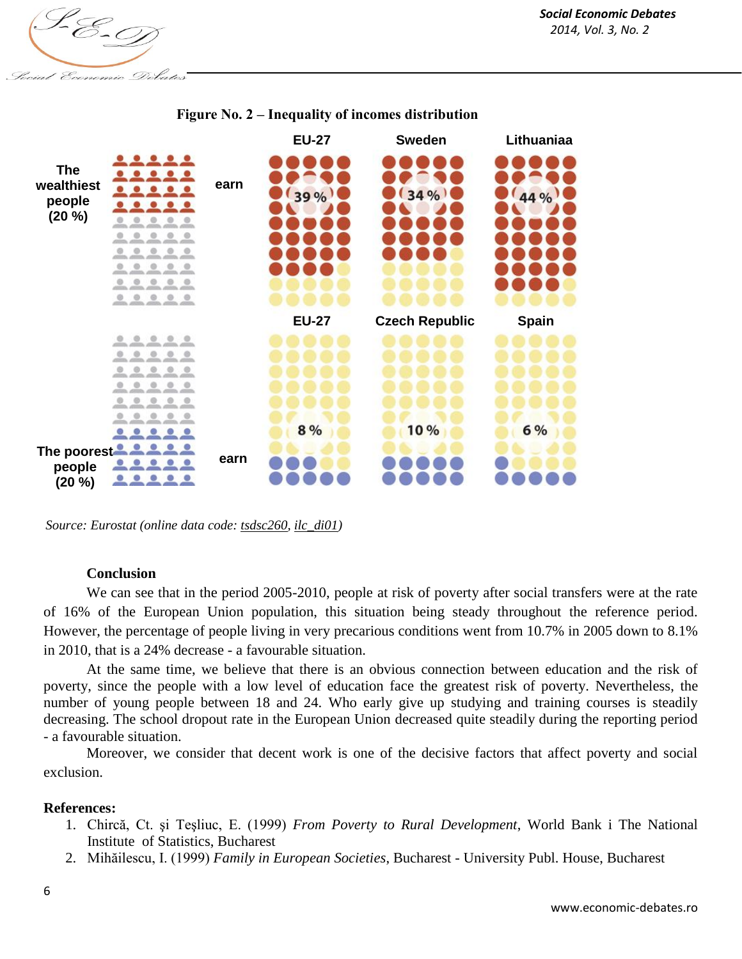S-E-D Social Economic Debates



## **Figure No. 2 – Inequality of incomes distribution**

*Source: Eurostat (online data code[: tsdsc260,](http://ec.europa.eu/eurostat/product?mode=view&code=tsdsc260) [ilc\\_di01\)](http://ec.europa.eu/eurostat/product?mode=view&code=ilc_di01)* 

## **Conclusion**

We can see that in the period 2005-2010, people at risk of poverty after social transfers were at the rate of 16% of the European Union population, this situation being steady throughout the reference period. However, the percentage of people living in very precarious conditions went from 10.7% in 2005 down to 8.1% in 2010, that is a 24% decrease - a favourable situation.

At the same time, we believe that there is an obvious connection between education and the risk of poverty, since the people with a low level of education face the greatest risk of poverty. Nevertheless, the number of young people between 18 and 24. Who early give up studying and training courses is steadily decreasing. The school dropout rate in the European Union decreased quite steadily during the reporting period - a favourable situation.

Moreover, we consider that decent work is one of the decisive factors that affect poverty and social exclusion.

## **References:**

- 1. Chircă, Ct. şi Teşliuc, E. (1999) *From Poverty to Rural Development*, World Bank i The National Institute of Statistics, Bucharest
- 2. Mihăilescu, I. (1999) *Family in European Societies*, Bucharest University Publ. House, Bucharest